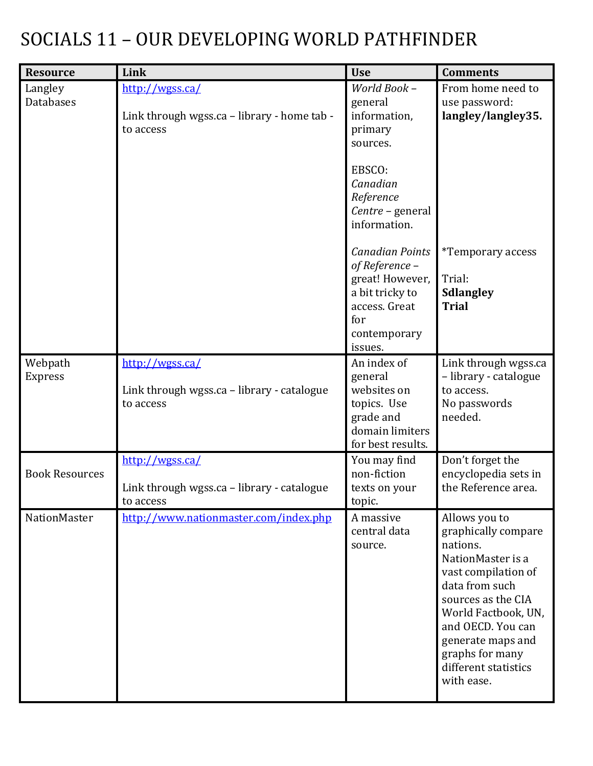### SOCIALS 11 – OUR DEVELOPING WORLD PATHFINDER

| <b>Resource</b>           | Link                                                                        | <b>Use</b>                                                                                                                        | <b>Comments</b>                                                                                                                                                                                                                                                |
|---------------------------|-----------------------------------------------------------------------------|-----------------------------------------------------------------------------------------------------------------------------------|----------------------------------------------------------------------------------------------------------------------------------------------------------------------------------------------------------------------------------------------------------------|
| Langley<br>Databases      | http://wgss.ca/<br>Link through wgss.ca - library - home tab -<br>to access | World Book -<br>general<br>information,<br>primary<br>sources.                                                                    | From home need to<br>use password:<br>langley/langley35.                                                                                                                                                                                                       |
|                           |                                                                             | EBSCO:<br>Canadian<br>Reference<br>Centre - general<br>information.                                                               |                                                                                                                                                                                                                                                                |
|                           |                                                                             | <b>Canadian Points</b><br>of Reference -<br>great! However,<br>a bit tricky to<br>access. Great<br>for<br>contemporary<br>issues. | <i>*Temporary access</i><br>Trial:<br><b>Sdlangley</b><br><b>Trial</b>                                                                                                                                                                                         |
| Webpath<br><b>Express</b> | http://wgss.ca/<br>Link through wgss.ca - library - catalogue<br>to access  | An index of<br>general<br>websites on<br>topics. Use<br>grade and<br>domain limiters<br>for best results.                         | Link through wgss.ca<br>- library - catalogue<br>to access.<br>No passwords<br>needed.                                                                                                                                                                         |
| <b>Book Resources</b>     | http://wgss.ca/<br>Link through wgss.ca - library - catalogue<br>to access  | You may find<br>non-fiction<br>texts on your<br>topic.                                                                            | Don't forget the<br>encyclopedia sets in<br>the Reference area.                                                                                                                                                                                                |
| <b>NationMaster</b>       | http://www.nationmaster.com/index.php                                       | A massive<br>central data<br>source.                                                                                              | Allows you to<br>graphically compare<br>nations.<br>NationMaster is a<br>vast compilation of<br>data from such<br>sources as the CIA<br>World Factbook, UN,<br>and OECD. You can<br>generate maps and<br>graphs for many<br>different statistics<br>with ease. |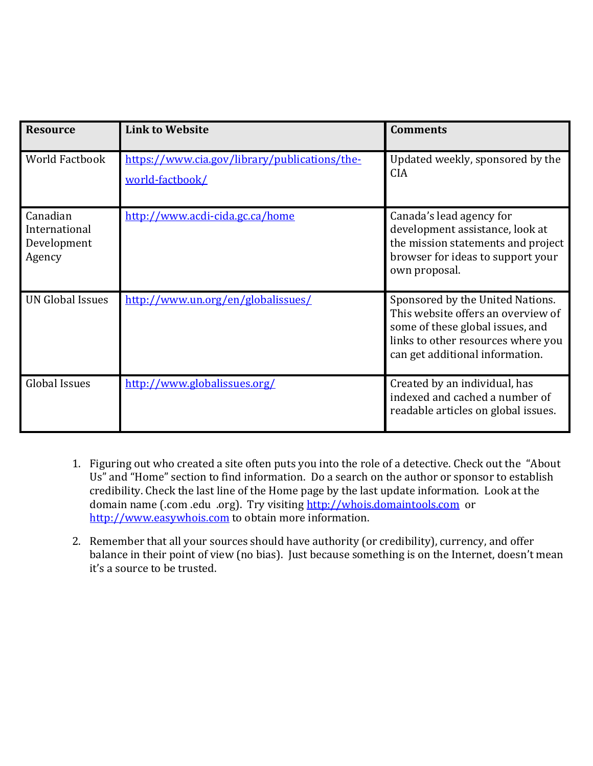| <b>Resource</b>                                    | <b>Link to Website</b>                                           | <b>Comments</b>                                                                                                                                                                     |
|----------------------------------------------------|------------------------------------------------------------------|-------------------------------------------------------------------------------------------------------------------------------------------------------------------------------------|
| <b>World Factbook</b>                              | https://www.cia.gov/library/publications/the-<br>world-factbook/ | Updated weekly, sponsored by the<br><b>CIA</b>                                                                                                                                      |
| Canadian<br>International<br>Development<br>Agency | http://www.acdi-cida.gc.ca/home                                  | Canada's lead agency for<br>development assistance, look at<br>the mission statements and project<br>browser for ideas to support your<br>own proposal.                             |
| <b>UN Global Issues</b>                            | http://www.un.org/en/globalissues/                               | Sponsored by the United Nations.<br>This website offers an overview of<br>some of these global issues, and<br>links to other resources where you<br>can get additional information. |
| <b>Global Issues</b>                               | http://www.globalissues.org/                                     | Created by an individual, has<br>indexed and cached a number of<br>readable articles on global issues.                                                                              |

- 1. Figuring out who created a site often puts you into the role of a detective. Check out the "About Us" and "Home" section to find information. Do a search on the author or sponsor to establish credibility. Check the last line of the Home page by the last update information. Look at the domain name (.com .edu .org). Try visiting [http://whois.domaintools.com](http://whois.domaintools.com/) or [http://www.easywhois.com](http://www.easywhois.com/) to obtain more information.
- 2. Remember that all your sources should have authority (or credibility), currency, and offer balance in their point of view (no bias). Just because something is on the Internet, doesn't mean it's a source to be trusted.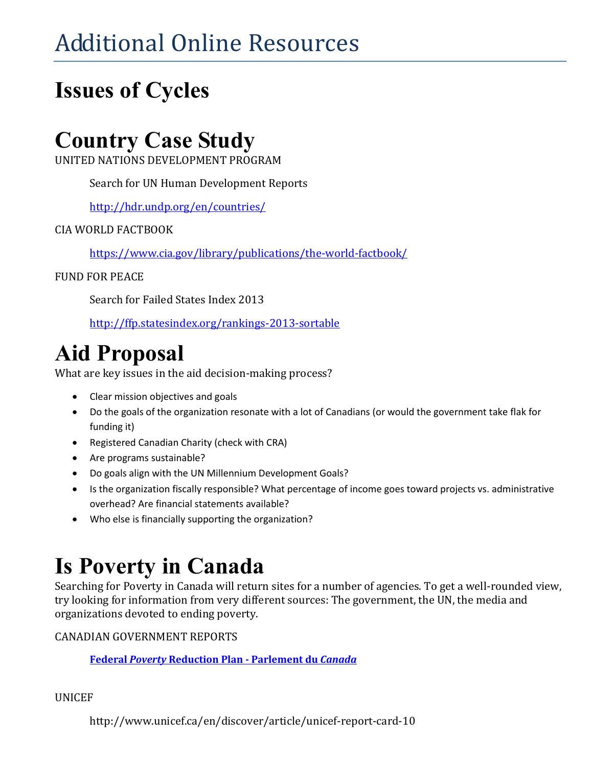# Additional Online Resources

## **Issues of Cycles**

### **Country Case Study**

UNITED NATIONS DEVELOPMENT PROGRAM

Search for UN Human Development Reports

<http://hdr.undp.org/en/countries/>

#### CIA WORLD FACTBOOK

<https://www.cia.gov/library/publications/the-world-factbook/>

#### FUND FOR PEACE

Search for Failed States Index 2013

<http://ffp.statesindex.org/rankings-2013-sortable>

### **Aid Proposal**

What are key issues in the aid decision-making process?

- Clear mission objectives and goals
- Do the goals of the organization resonate with a lot of Canadians (or would the government take flak for funding it)
- Registered Canadian Charity (check with CRA)
- Are programs sustainable?
- Do goals align with the UN Millennium Development Goals?
- Is the organization fiscally responsible? What percentage of income goes toward projects vs. administrative overhead? Are financial statements available?
- Who else is financially supporting the organization?

## **Is Poverty in Canada**

Searching for Poverty in Canada will return sites for a number of agencies. To get a well-rounded view, try looking for information from very different sources: The government, the UN, the media and organizations devoted to ending poverty.

CANADIAN GOVERNMENT REPORTS

**Federal** *Poverty* **[Reduction Plan -](http://www.google.ca/url?sa=t&rct=j&q=&esrc=s&source=web&cd=13&sqi=2&ved=0CIUBEBYwDA&url=http%3A%2F%2Fwww.parl.gc.ca%2Fcontent%2Fhoc%2FCommittee%2F403%2FHUMA%2FReports%2FRP4770921%2Fhumarp07%2Fhumarp07-e.pdf&ei=0muXUt3bHOafiAKhhIDYBg&usg=AFQjCNH3g_almhxPex1mLc7goIaNXCZtPQ&bvm=bv.57155469,d.cGE&cad=rja) Parlement du** *Canada*

UNICEF

http://www.unicef.ca/en/discover/article/unicef-report-card-10